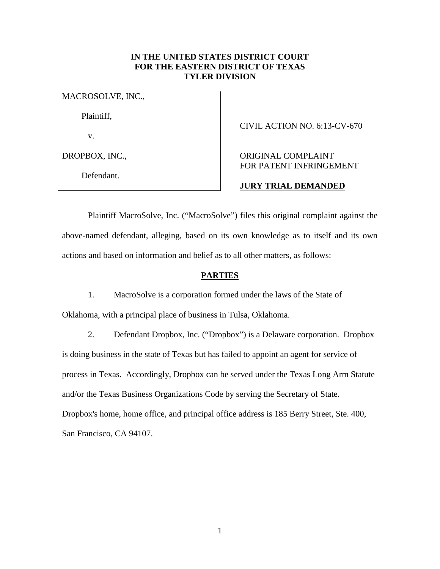## **IN THE UNITED STATES DISTRICT COURT FOR THE EASTERN DISTRICT OF TEXAS TYLER DIVISION**

MACROSOLVE, INC.,

Plaintiff,

v.

DROPBOX, INC.,

Defendant.

## CIVIL ACTION NO. 6:13-CV-670

# ORIGINAL COMPLAINT FOR PATENT INFRINGEMENT

## **JURY TRIAL DEMANDED**

Plaintiff MacroSolve, Inc. ("MacroSolve") files this original complaint against the above-named defendant, alleging, based on its own knowledge as to itself and its own actions and based on information and belief as to all other matters, as follows:

# **PARTIES**

1. MacroSolve is a corporation formed under the laws of the State of Oklahoma, with a principal place of business in Tulsa, Oklahoma.

2. Defendant Dropbox, Inc. ("Dropbox") is a Delaware corporation. Dropbox is doing business in the state of Texas but has failed to appoint an agent for service of process in Texas. Accordingly, Dropbox can be served under the Texas Long Arm Statute and/or the Texas Business Organizations Code by serving the Secretary of State. Dropbox's home, home office, and principal office address is 185 Berry Street, Ste. 400, San Francisco, CA 94107.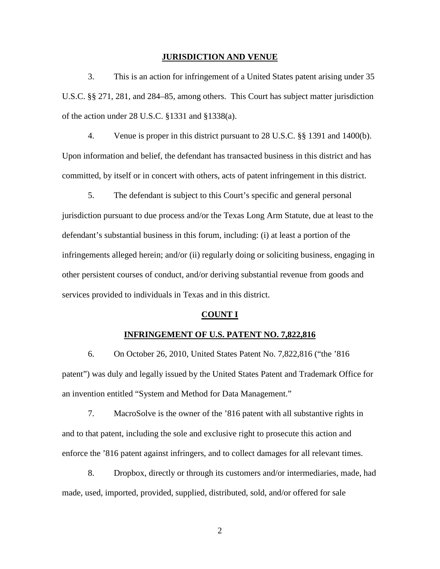#### **JURISDICTION AND VENUE**

3. This is an action for infringement of a United States patent arising under 35 U.S.C. §§ 271, 281, and 284–85, among others. This Court has subject matter jurisdiction of the action under 28 U.S.C. §1331 and §1338(a).

4. Venue is proper in this district pursuant to 28 U.S.C. §§ 1391 and 1400(b). Upon information and belief, the defendant has transacted business in this district and has committed, by itself or in concert with others, acts of patent infringement in this district.

5. The defendant is subject to this Court's specific and general personal jurisdiction pursuant to due process and/or the Texas Long Arm Statute, due at least to the defendant's substantial business in this forum, including: (i) at least a portion of the infringements alleged herein; and/or (ii) regularly doing or soliciting business, engaging in other persistent courses of conduct, and/or deriving substantial revenue from goods and services provided to individuals in Texas and in this district.

### **COUNT I**

## **INFRINGEMENT OF U.S. PATENT NO. 7,822,816**

6. On October 26, 2010, United States Patent No. 7,822,816 ("the '816 patent") was duly and legally issued by the United States Patent and Trademark Office for an invention entitled "System and Method for Data Management."

7. MacroSolve is the owner of the '816 patent with all substantive rights in and to that patent, including the sole and exclusive right to prosecute this action and enforce the '816 patent against infringers, and to collect damages for all relevant times.

8. Dropbox, directly or through its customers and/or intermediaries, made, had made, used, imported, provided, supplied, distributed, sold, and/or offered for sale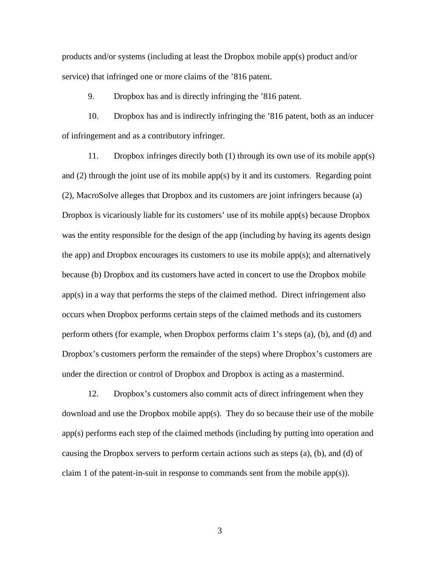products and/or systems (including at least the Dropbox mobile app(s) product and/or service) that infringed one or more claims of the '816 patent.

9. Dropbox has and is directly infringing the '816 patent.

10. Dropbox has and is indirectly infringing the '816 patent, both as an inducer of infringement and as a contributory infringer.

11. Dropbox infringes directly both (1) through its own use of its mobile app(s) and (2) through the joint use of its mobile app(s) by it and its customers. Regarding point (2), MacroSolve alleges that Dropbox and its customers are joint infringers because (a) Dropbox is vicariously liable for its customers' use of its mobile app(s) because Dropbox was the entity responsible for the design of the app (including by having its agents design the app) and Dropbox encourages its customers to use its mobile app(s); and alternatively because (b) Dropbox and its customers have acted in concert to use the Dropbox mobile app(s) in a way that performs the steps of the claimed method. Direct infringement also occurs when Dropbox performs certain steps of the claimed methods and its customers perform others (for example, when Dropbox performs claim 1's steps (a), (b), and (d) and Dropbox's customers perform the remainder of the steps) where Dropbox's customers are under the direction or control of Dropbox and Dropbox is acting as a mastermind.

12. Dropbox's customers also commit acts of direct infringement when they download and use the Dropbox mobile app(s). They do so because their use of the mobile app(s) performs each step of the claimed methods (including by putting into operation and causing the Dropbox servers to perform certain actions such as steps (a), (b), and (d) of claim 1 of the patent-in-suit in response to commands sent from the mobile app(s)).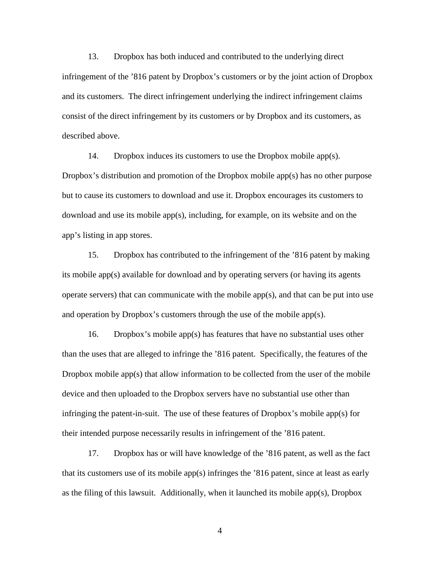13. Dropbox has both induced and contributed to the underlying direct infringement of the '816 patent by Dropbox's customers or by the joint action of Dropbox and its customers. The direct infringement underlying the indirect infringement claims consist of the direct infringement by its customers or by Dropbox and its customers, as described above.

14. Dropbox induces its customers to use the Dropbox mobile app(s). Dropbox's distribution and promotion of the Dropbox mobile app(s) has no other purpose but to cause its customers to download and use it. Dropbox encourages its customers to download and use its mobile app(s), including, for example, on its website and on the app's listing in app stores.

15. Dropbox has contributed to the infringement of the '816 patent by making its mobile app(s) available for download and by operating servers (or having its agents operate servers) that can communicate with the mobile app(s), and that can be put into use and operation by Dropbox's customers through the use of the mobile app(s).

16. Dropbox's mobile app(s) has features that have no substantial uses other than the uses that are alleged to infringe the '816 patent. Specifically, the features of the Dropbox mobile app(s) that allow information to be collected from the user of the mobile device and then uploaded to the Dropbox servers have no substantial use other than infringing the patent-in-suit. The use of these features of Dropbox's mobile app(s) for their intended purpose necessarily results in infringement of the '816 patent.

17. Dropbox has or will have knowledge of the '816 patent, as well as the fact that its customers use of its mobile app(s) infringes the '816 patent, since at least as early as the filing of this lawsuit. Additionally, when it launched its mobile app(s), Dropbox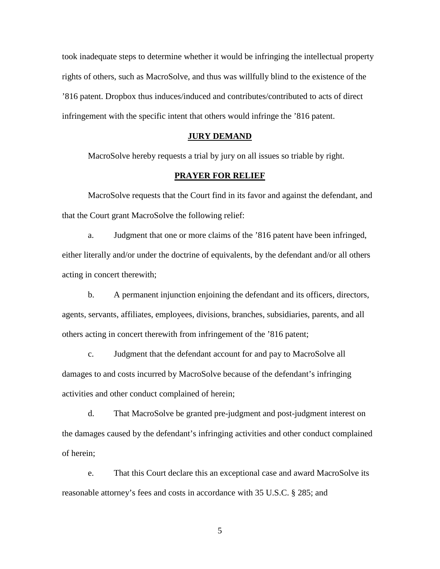took inadequate steps to determine whether it would be infringing the intellectual property rights of others, such as MacroSolve, and thus was willfully blind to the existence of the '816 patent. Dropbox thus induces/induced and contributes/contributed to acts of direct infringement with the specific intent that others would infringe the '816 patent.

## **JURY DEMAND**

MacroSolve hereby requests a trial by jury on all issues so triable by right.

## **PRAYER FOR RELIEF**

MacroSolve requests that the Court find in its favor and against the defendant, and that the Court grant MacroSolve the following relief:

a. Judgment that one or more claims of the '816 patent have been infringed, either literally and/or under the doctrine of equivalents, by the defendant and/or all others acting in concert therewith;

b. A permanent injunction enjoining the defendant and its officers, directors, agents, servants, affiliates, employees, divisions, branches, subsidiaries, parents, and all others acting in concert therewith from infringement of the '816 patent;

c. Judgment that the defendant account for and pay to MacroSolve all damages to and costs incurred by MacroSolve because of the defendant's infringing activities and other conduct complained of herein;

d. That MacroSolve be granted pre-judgment and post-judgment interest on the damages caused by the defendant's infringing activities and other conduct complained of herein;

e. That this Court declare this an exceptional case and award MacroSolve its reasonable attorney's fees and costs in accordance with 35 U.S.C. § 285; and